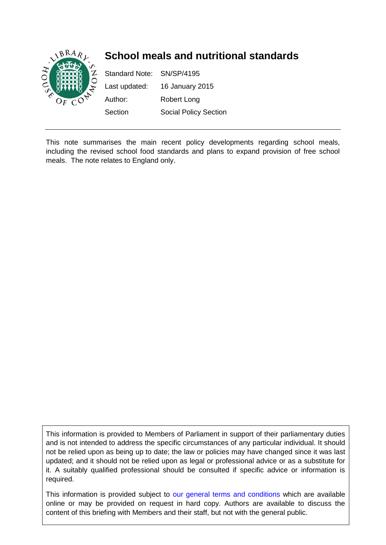

This note summarises the main recent policy developments regarding school meals, including the revised school food standards and plans to expand provision of free school meals. The note relates to England only.

This information is provided to Members of Parliament in support of their parliamentary duties and is not intended to address the specific circumstances of any particular individual. It should not be relied upon as being up to date; the law or policies may have changed since it was last updated; and it should not be relied upon as legal or professional advice or as a substitute for it. A suitably qualified professional should be consulted if specific advice or information is required.

This information is provided subject to [our general terms and conditions](http://www.parliament.uk/site_information/parliamentary_copyright.cfm) which are available online or may be provided on request in hard copy. Authors are available to discuss the content of this briefing with Members and their staff, but not with the general public.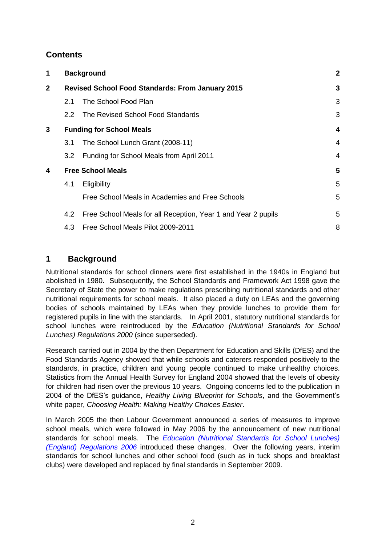# **Contents**

| 1            |                                                         | <b>Background</b>                                             |   |
|--------------|---------------------------------------------------------|---------------------------------------------------------------|---|
| $\mathbf{2}$ | <b>Revised School Food Standards: From January 2015</b> |                                                               | 3 |
|              | 2.1                                                     | The School Food Plan                                          | 3 |
|              | $2.2^{\circ}$                                           | The Revised School Food Standards                             | 3 |
| 3            | <b>Funding for School Meals</b>                         |                                                               | 4 |
|              | 3.1                                                     | The School Lunch Grant (2008-11)                              | 4 |
|              | 3.2                                                     | Funding for School Meals from April 2011                      | 4 |
| 4            | <b>Free School Meals</b>                                |                                                               | 5 |
|              | 4.1                                                     | Eligibility                                                   | 5 |
|              |                                                         | Free School Meals in Academies and Free Schools               | 5 |
|              | 4.2                                                     | Free School Meals for all Reception, Year 1 and Year 2 pupils | 5 |
|              | 4.3                                                     | Free School Meals Pilot 2009-2011                             | 8 |

# <span id="page-1-0"></span>**1 Background**

Nutritional standards for school dinners were first established in the 1940s in England but abolished in 1980. Subsequently, the School Standards and Framework Act 1998 gave the Secretary of State the power to make regulations prescribing nutritional standards and other nutritional requirements for school meals. It also placed a duty on LEAs and the governing bodies of schools maintained by LEAs when they provide lunches to provide them for registered pupils in line with the standards. In April 2001, statutory nutritional standards for school lunches were reintroduced by the *Education (Nutritional Standards for School Lunches) Regulations 2000* (since superseded).

Research carried out in 2004 by the then Department for Education and Skills (DfES) and the Food Standards Agency showed that while schools and caterers responded positively to the standards, in practice, children and young people continued to make unhealthy choices. Statistics from the Annual Health Survey for England 2004 showed that the levels of obesity for children had risen over the previous 10 years. Ongoing concerns led to the publication in 2004 of the DfES's guidance, *Healthy Living Blueprint for Schools*, and the Government's white paper, *Choosing Health: Making Healthy Choices Easier*.

In March 2005 the then Labour Government announced a series of measures to improve school meals, which were followed in May 2006 by the announcement of new nutritional standards for school meals. The *[Education \(Nutritional Standards for School Lunches\)](http://www.legislation.gov.uk/uksi/2006/2381/contents/made)  [\(England\) Regulations 2006](http://www.legislation.gov.uk/uksi/2006/2381/contents/made)* introduced these changes. Over the following years, interim standards for school lunches and other school food (such as in tuck shops and breakfast clubs) were developed and replaced by final standards in September 2009.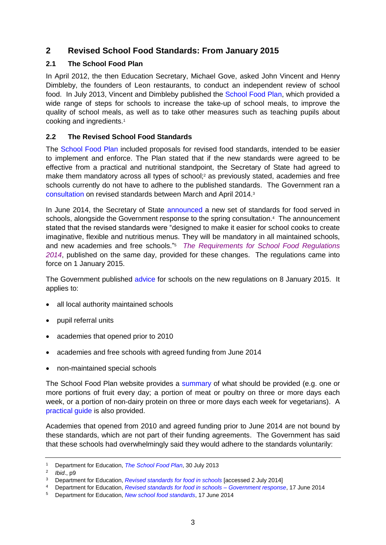# <span id="page-2-0"></span>**2 Revised School Food Standards: From January 2015**

### <span id="page-2-1"></span>**2.1 The School Food Plan**

In April 2012, the then Education Secretary, Michael Gove, asked John Vincent and Henry Dimbleby, the founders of Leon restaurants, to conduct an independent review of school food. In July 2013, Vincent and Dimbleby published the [School Food Plan,](https://www.gov.uk/government/publications/the-school-food-plan) which provided a wide range of steps for schools to increase the take-up of school meals, to improve the quality of school meals, as well as to take other measures such as teaching pupils about cooking and ingredients.<sup>1</sup>

### <span id="page-2-2"></span>**2.2 The Revised School Food Standards**

The [School Food Plan](https://www.gov.uk/government/publications/the-school-food-plan) included proposals for revised food standards, intended to be easier to implement and enforce. The Plan stated that if the new standards were agreed to be effective from a practical and nutritional standpoint, the Secretary of State had agreed to make them mandatory across all types of school; <sup>2</sup> as previously stated, academies and free schools currently do not have to adhere to the published standards. The Government ran a [consultation](https://www.gov.uk/government/consultations/revised-standards-for-food-in-schools--2) on revised standards between March and April 2014.<sup>3</sup>

In June 2014, the Secretary of State [announced](https://www.gov.uk/government/news/new-school-food-standards) a new set of standards for food served in schools, alongside the Government response to the spring consultation. 4 The announcement stated that the revised standards were "designed to make it easier for school cooks to create imaginative, flexible and nutritious menus. They will be mandatory in all maintained schools, and new academies and free schools." 5 *[The Requirements for School Food Regulations](http://www.legislation.gov.uk/uksi/2014/1603/contents/made)  [2014](http://www.legislation.gov.uk/uksi/2014/1603/contents/made)*, published on the same day, provided for these changes. The regulations came into force on 1 January 2015.

The Government published [advice](https://www.gov.uk/government/uploads/system/uploads/attachment_data/file/393122/School_food_in_England_2015.pdf) for schools on the new regulations on 8 January 2015. It applies to:

- all local authority maintained schools
- pupil referral units
- academies that opened prior to 2010
- academies and free schools with agreed funding from June 2014
- non-maintained special schools

The School Food Plan website provides a [summary](http://www.schoolfoodplan.com/wp-content/uploads/2014/09/School_Food_Standards_140911-V2c-tea-towel.pdf) of what should be provided (e.g. one or more portions of fruit every day; a portion of meat or poultry on three or more days each week, or a portion of non-dairy protein on three or more days each week for vegetarians). A [practical guide](http://www.schoolfoodplan.com/wp-content/uploads/2014/09/School-Food-Standards-Guidance-FINAL-140911-V2C.pdf) is also provided.

Academies that opened from 2010 and agreed funding prior to June 2014 are not bound by these standards, which are not part of their funding agreements. The Government has said that these schools had overwhelmingly said they would adhere to the standards voluntarily:

<sup>1</sup> Department for Education, *[The School Food Plan](https://www.gov.uk/government/publications/the-school-food-plan)*, 30 July 2013

<sup>2</sup> *Ibid*., p9

<sup>3</sup> Department for Education, *[Revised standards for food in schools](https://www.gov.uk/government/consultations/revised-standards-for-food-in-schools--2)* [accessed 2 July 2014]

<sup>4</sup> Department for Education, *[Revised standards for food in schools –](https://www.gov.uk/government/uploads/system/uploads/attachment_data/file/320697/Government_Response_-_Revised_Standards_for_School_Food_Consultation_FINAL.pdf) Government response*, 17 June 2014

<sup>5</sup> Department for Education, *[New school food standards](https://www.gov.uk/government/news/new-school-food-standards)*, 17 June 2014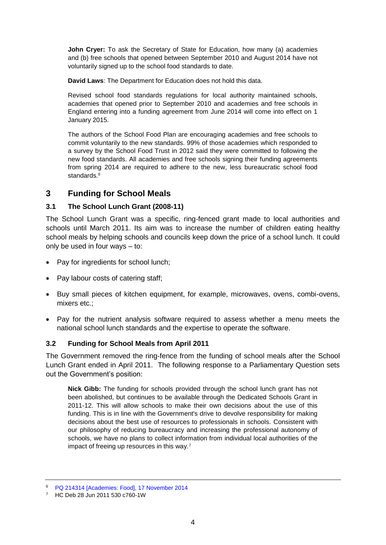**John Cryer:** To ask the Secretary of State for Education, how many (a) academies and (b) free schools that opened between September 2010 and August 2014 have not voluntarily signed up to the school food standards to date.

**David Laws**: The Department for Education does not hold this data.

Revised school food standards regulations for local authority maintained schools, academies that opened prior to September 2010 and academies and free schools in England entering into a funding agreement from June 2014 will come into effect on 1 January 2015.

The authors of the School Food Plan are encouraging academies and free schools to commit voluntarily to the new standards. 99% of those academies which responded to a survey by the School Food Trust in 2012 said they were committed to following the new food standards. All academies and free schools signing their funding agreements from spring 2014 are required to adhere to the new, less bureaucratic school food standards<sup>6</sup>

### <span id="page-3-0"></span>**3 Funding for School Meals**

#### <span id="page-3-1"></span>**3.1 The School Lunch Grant (2008-11)**

The School Lunch Grant was a specific, ring-fenced grant made to local authorities and schools until March 2011. Its aim was to increase the number of children eating healthy school meals by helping schools and councils keep down the price of a school lunch. It could only be used in four ways – to:

- Pay for ingredients for school lunch;
- Pay labour costs of catering staff;
- Buy small pieces of kitchen equipment, for example, microwaves, ovens, combi-ovens, mixers etc.;
- Pay for the nutrient analysis software required to assess whether a menu meets the national school lunch standards and the expertise to operate the software.

#### <span id="page-3-2"></span>**3.2 Funding for School Meals from April 2011**

The Government removed the ring-fence from the funding of school meals after the School Lunch Grant ended in April 2011. The following response to a Parliamentary Question sets out the Government's position:

**Nick Gibb:** The funding for schools provided through the school lunch grant has not been abolished, but continues to be available through the Dedicated Schools Grant in 2011-12. This will allow schools to make their own decisions about the use of this funding. This is in line with the Government's drive to devolve responsibility for making decisions about the best use of resources to professionals in schools. Consistent with our philosophy of reducing bureaucracy and increasing the professional autonomy of schools, we have no plans to collect information from individual local authorities of the impact of freeing up resources in this way.<sup>7</sup>

<sup>6</sup> [PQ 214314 \[Academies: Food\], 17 November](http://www.parliament.uk/written-questions-answers-statements/written-question/commons/2014-11-11/214314) 2014

<sup>7</sup> HC Deb 28 Jun 2011 530 c760-1W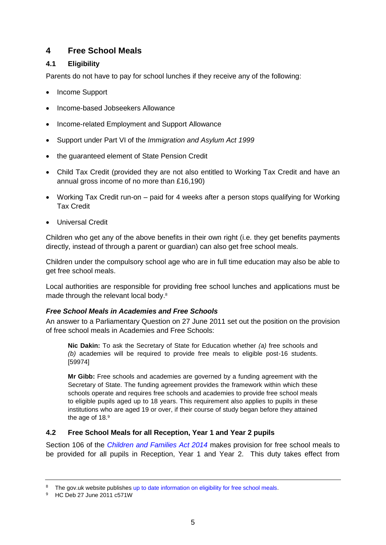# <span id="page-4-0"></span>**4 Free School Meals**

### <span id="page-4-1"></span>**4.1 Eligibility**

Parents do not have to pay for school lunches if they receive any of the following:

- Income Support
- Income-based Jobseekers Allowance
- Income-related Employment and Support Allowance
- Support under Part VI of the *Immigration and Asylum Act 1999*
- the guaranteed element of State Pension Credit
- Child Tax Credit (provided they are not also entitled to Working Tax Credit and have an annual gross income of no more than £16,190)
- Working Tax Credit run-on paid for 4 weeks after a person stops qualifying for Working Tax Credit
- Universal Credit

Children who get any of the above benefits in their own right (i.e. they get benefits payments directly, instead of through a parent or guardian) can also get free school meals.

Children under the compulsory school age who are in full time education may also be able to get free school meals.

Local authorities are responsible for providing free school lunches and applications must be made through the relevant local body.<sup>8</sup>

### <span id="page-4-2"></span>*Free School Meals in Academies and Free Schools*

An answer to a Parliamentary Question on 27 June 2011 set out the position on the provision of free school meals in Academies and Free Schools:

**Nic Dakin:** To ask the Secretary of State for Education whether *(a)* free schools and *(b)* academies will be required to provide free meals to eligible post-16 students. [59974]

**Mr Gibb:** Free schools and academies are governed by a funding agreement with the Secretary of State. The funding agreement provides the framework within which these schools operate and requires free schools and academies to provide free school meals to eligible pupils aged up to 18 years. This requirement also applies to pupils in these institutions who are aged 19 or over, if their course of study began before they attained the age of 18.<sup>9</sup>

### <span id="page-4-3"></span>**4.2 Free School Meals for all Reception, Year 1 and Year 2 pupils**

Section 106 of the *[Children and Families Act 2014](http://www.legislation.gov.uk/ukpga/2014/6/section/106/enacted)* makes provision for free school meals to be provided for all pupils in Reception, Year 1 and Year 2. This duty takes effect from

<sup>&</sup>lt;sup>8</sup> The gov.uk website publishe[s up to date information on eligibility for free school meals.](https://www.gov.uk/apply-free-school-meals)

<sup>9</sup> HC Deb 27 June 2011 c571W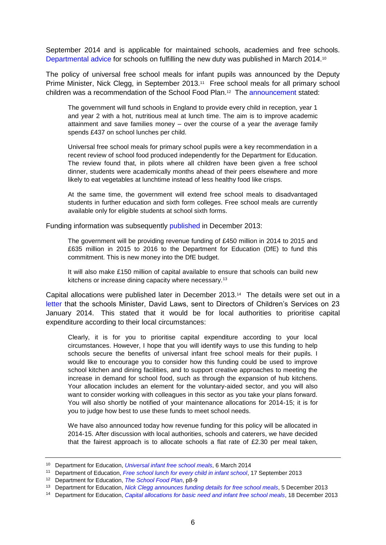September 2014 and is applicable for maintained schools, academies and free schools. [Departmental advice](https://www.gov.uk/government/publications/universal-infant-free-school-meals) for schools on fulfilling the new duty was published in March 2014.<sup>10</sup>

The policy of universal free school meals for infant pupils was announced by the Deputy Prime Minister, Nick Clegg, in September 2013.<sup>11</sup> Free school meals for all primary school children was a recommendation of the School Food Plan.<sup>12</sup> The [announcement](https://www.gov.uk/government/news/free-school-lunch-for-every-child-in-infant-school) stated:

The government will fund schools in England to provide every child in reception, year 1 and year 2 with a hot, nutritious meal at lunch time. The aim is to improve academic attainment and save families money – over the course of a year the average family spends £437 on school lunches per child.

Universal free school meals for primary school pupils were a key recommendation in a recent review of school food produced independently for the Department for Education. The review found that, in pilots where all children have been given a free school dinner, students were academically months ahead of their peers elsewhere and more likely to eat vegetables at lunchtime instead of less healthy food like crisps.

At the same time, the government will extend free school meals to disadvantaged students in further education and sixth form colleges. Free school meals are currently available only for eligible students at school sixth forms.

Funding information was subsequently [published](https://www.gov.uk/government/news/nick-clegg-announces-funding-details-for-free-school-meals) in December 2013:

The government will be providing revenue funding of £450 million in 2014 to 2015 and £635 million in 2015 to 2016 to the Department for Education (DfE) to fund this commitment. This is new money into the DfE budget.

It will also make £150 million of capital available to ensure that schools can build new kitchens or increase dining capacity where necessary.<sup>13</sup>

Capital allocations were published later in December 2013.<sup>14</sup> The details were set out in a [letter](https://www.gov.uk/government/uploads/system/uploads/attachment_data/file/274988/Universal_free_schools_meals_letter--.pdf) that the schools Minister, David Laws, sent to Directors of Children's Services on 23 January 2014. This stated that it would be for local authorities to prioritise capital expenditure according to their local circumstances:

Clearly, it is for you to prioritise capital expenditure according to your local circumstances. However, I hope that you will identify ways to use this funding to help schools secure the benefits of universal infant free school meals for their pupils. I would like to encourage you to consider how this funding could be used to improve school kitchen and dining facilities, and to support creative approaches to meeting the increase in demand for school food, such as through the expansion of hub kitchens. Your allocation includes an element for the voluntary-aided sector, and you will also want to consider working with colleagues in this sector as you take your plans forward. You will also shortly be notified of your maintenance allocations for 2014-15; it is for you to judge how best to use these funds to meet school needs.

We have also announced today how revenue funding for this policy will be allocated in 2014-15. After discussion with local authorities, schools and caterers, we have decided that the fairest approach is to allocate schools a flat rate of £2.30 per meal taken,

<sup>10</sup> Department for Education, *[Universal infant free school meals](https://www.gov.uk/government/publications/universal-infant-free-school-meals)*, 6 March 2014

<sup>11</sup> Department of Education, *[Free school lunch for every child in infant school](https://www.gov.uk/government/news/free-school-lunch-for-every-child-in-infant-school)*, 17 September 2013

<sup>12</sup> Department for Education, *[The School Food Plan](https://www.gov.uk/government/publications/the-school-food-plan)*, p8-9

<sup>13</sup> Department for Education, *[Nick Clegg announces funding details for free school meals](https://www.gov.uk/government/news/nick-clegg-announces-funding-details-for-free-school-meals)*, 5 December 2013

<sup>14</sup> Department for Education, *[Capital allocations for basic need and infant free school meals](https://www.gov.uk/government/publications/capital-allocations-for-basic-need-and-infant-free-school-meals)*, 18 December 2013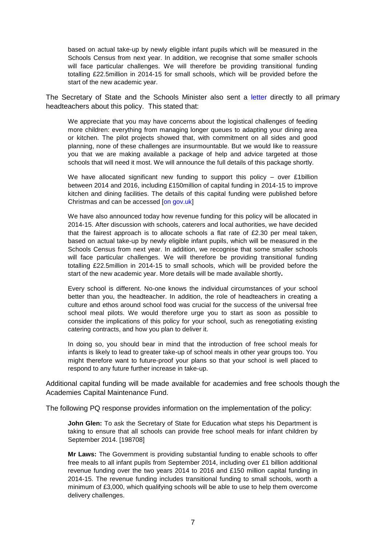based on actual take-up by newly eligible infant pupils which will be measured in the Schools Census from next year. In addition, we recognise that some smaller schools will face particular challenges. We will therefore be providing transitional funding totalling £22.5million in 2014-15 for small schools, which will be provided before the start of the new academic year.

The Secretary of State and the Schools Minister also sent a [letter](https://www.gov.uk/government/uploads/system/uploads/attachment_data/file/274874/MINISTERIAL_LETTER_TO_PRIMARY_HEADTEACHERS_-_UNIVERSAL_INFANT_FREE_SCH....pdf) directly to all primary headteachers about this policy. This stated that:

We appreciate that you may have concerns about the logistical challenges of feeding more children: everything from managing longer queues to adapting your dining area or kitchen. The pilot projects showed that, with commitment on all sides and good planning, none of these challenges are insurmountable. But we would like to reassure you that we are making available a package of help and advice targeted at those schools that will need it most. We will announce the full details of this package shortly.

We have allocated significant new funding to support this policy – over £1billion between 2014 and 2016, including £150million of capital funding in 2014-15 to improve kitchen and dining facilities. The details of this capital funding were published before Christmas and can be accessed [\[on gov.uk\]](https://www.gov.uk/government/publications/capital-allocations-for-basic-need-and-infant-free-school-meals)

We have also announced today how revenue funding for this policy will be allocated in 2014-15. After discussion with schools, caterers and local authorities, we have decided that the fairest approach is to allocate schools a flat rate of £2.30 per meal taken, based on actual take-up by newly eligible infant pupils, which will be measured in the Schools Census from next year. In addition, we recognise that some smaller schools will face particular challenges. We will therefore be providing transitional funding totalling £22.5million in 2014-15 to small schools, which will be provided before the start of the new academic year. More details will be made available shortly**.**

Every school is different. No-one knows the individual circumstances of your school better than you, the headteacher. In addition, the role of headteachers in creating a culture and ethos around school food was crucial for the success of the universal free school meal pilots. We would therefore urge you to start as soon as possible to consider the implications of this policy for your school, such as renegotiating existing catering contracts, and how you plan to deliver it.

In doing so, you should bear in mind that the introduction of free school meals for infants is likely to lead to greater take-up of school meals in other year groups too. You might therefore want to future-proof your plans so that your school is well placed to respond to any future further increase in take-up.

Additional capital funding will be made available for academies and free schools though the Academies Capital Maintenance Fund.

The following PQ response provides information on the implementation of the policy:

**John Glen:** To ask the Secretary of State for Education what steps his Department is taking to ensure that all schools can provide free school meals for infant children by September 2014. [198708]

**Mr Laws:** The Government is providing substantial funding to enable schools to offer free meals to all infant pupils from September 2014, including over £1 billion additional revenue funding over the two years 2014 to 2016 and £150 million capital funding in 2014-15. The revenue funding includes transitional funding to small schools, worth a minimum of £3,000, which qualifying schools will be able to use to help them overcome delivery challenges.